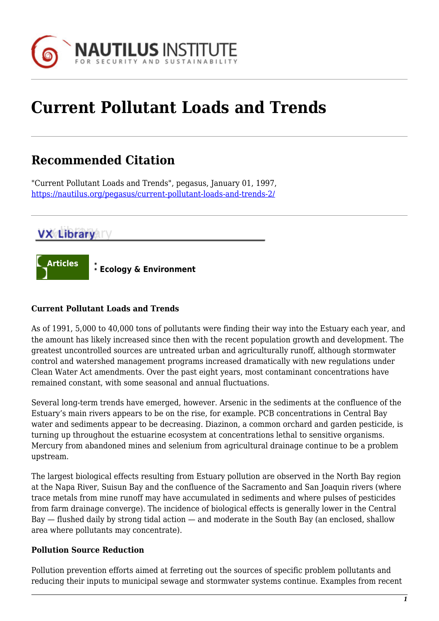

# **Current Pollutant Loads and Trends**

## **Recommended Citation**

"Current Pollutant Loads and Trends", pegasus, January 01, 1997, <https://nautilus.org/pegasus/current-pollutant-loads-and-trends-2/>

### **VX Library**



### **Current Pollutant Loads and Trends**

As of 1991, 5,000 to 40,000 tons of pollutants were finding their way into the Estuary each year, and the amount has likely increased since then with the recent population growth and development. The greatest uncontrolled sources are untreated urban and agriculturally runoff, although stormwater control and watershed management programs increased dramatically with new regulations under Clean Water Act amendments. Over the past eight years, most contaminant concentrations have remained constant, with some seasonal and annual fluctuations.

Several long-term trends have emerged, however. Arsenic in the sediments at the confluence of the Estuary's main rivers appears to be on the rise, for example. PCB concentrations in Central Bay water and sediments appear to be decreasing. Diazinon, a common orchard and garden pesticide, is turning up throughout the estuarine ecosystem at concentrations lethal to sensitive organisms. Mercury from abandoned mines and selenium from agricultural drainage continue to be a problem upstream.

The largest biological effects resulting from Estuary pollution are observed in the North Bay region at the Napa River, Suisun Bay and the confluence of the Sacramento and San Joaquin rivers (where trace metals from mine runoff may have accumulated in sediments and where pulses of pesticides from farm drainage converge). The incidence of biological effects is generally lower in the Central Bay — flushed daily by strong tidal action — and moderate in the South Bay (an enclosed, shallow area where pollutants may concentrate).

#### **Pollution Source Reduction**

Pollution prevention efforts aimed at ferreting out the sources of specific problem pollutants and reducing their inputs to municipal sewage and stormwater systems continue. Examples from recent